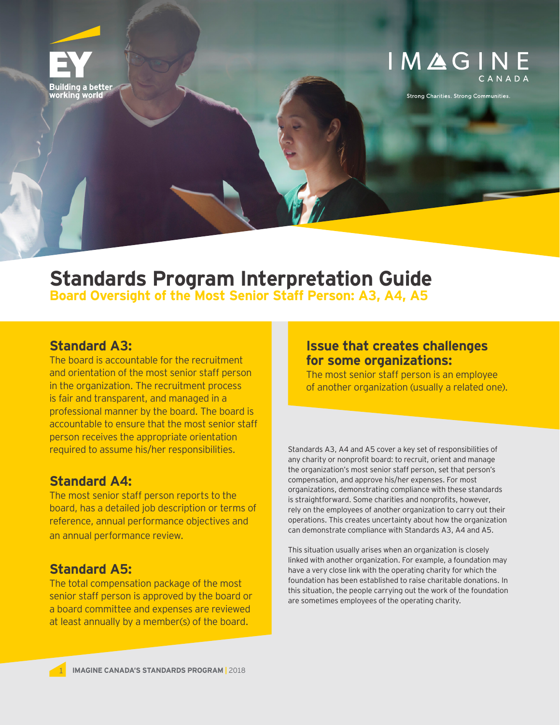

# IMAGINE

**Strong Charities. Strong Communities.** 

## **Standards Program Interpretation Guide**

**Board Oversight of the Most Senior Staff Person: A3, A4, A5**

#### **Standard A3:**

The board is accountable for the recruitment and orientation of the most senior staff person in the organization. The recruitment process is fair and transparent, and managed in a professional manner by the board. The board is accountable to ensure that the most senior staff person receives the appropriate orientation required to assume his/her responsibilities.

### **Standard A4:**

The most senior staff person reports to the board, has a detailed job description or terms of reference, annual performance objectives and an annual performance review.

### **Standard A5:**

The total compensation package of the most senior staff person is approved by the board or a board committee and expenses are reviewed at least annually by a member(s) of the board.

#### **Issue that creates challenges for some organizations:**

The most senior staff person is an employee of another organization (usually a related one).

Standards A3, A4 and A5 cover a key set of responsibilities of any charity or nonprofit board: to recruit, orient and manage the organization's most senior staff person, set that person's compensation, and approve his/her expenses. For most organizations, demonstrating compliance with these standards is straightforward. Some charities and nonprofits, however, rely on the employees of another organization to carry out their operations. This creates uncertainty about how the organization can demonstrate compliance with Standards A3, A4 and A5.

This situation usually arises when an organization is closely linked with another organization. For example, a foundation may have a very close link with the operating charity for which the foundation has been established to raise charitable donations. In this situation, the people carrying out the work of the foundation are sometimes employees of the operating charity.